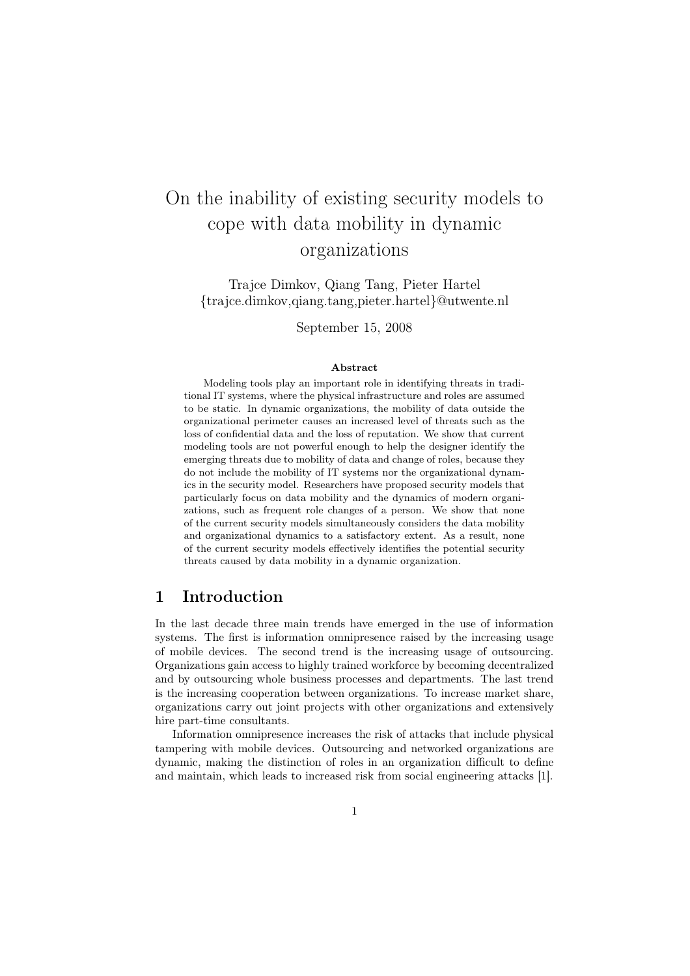# On the inability of existing security models to cope with data mobility in dynamic organizations

Trajce Dimkov, Qiang Tang, Pieter Hartel {trajce.dimkov,qiang.tang,pieter.hartel}@utwente.nl

September 15, 2008

#### Abstract

Modeling tools play an important role in identifying threats in traditional IT systems, where the physical infrastructure and roles are assumed to be static. In dynamic organizations, the mobility of data outside the organizational perimeter causes an increased level of threats such as the loss of confidential data and the loss of reputation. We show that current modeling tools are not powerful enough to help the designer identify the emerging threats due to mobility of data and change of roles, because they do not include the mobility of IT systems nor the organizational dynamics in the security model. Researchers have proposed security models that particularly focus on data mobility and the dynamics of modern organizations, such as frequent role changes of a person. We show that none of the current security models simultaneously considers the data mobility and organizational dynamics to a satisfactory extent. As a result, none of the current security models effectively identifies the potential security threats caused by data mobility in a dynamic organization.

## 1 Introduction

In the last decade three main trends have emerged in the use of information systems. The first is information omnipresence raised by the increasing usage of mobile devices. The second trend is the increasing usage of outsourcing. Organizations gain access to highly trained workforce by becoming decentralized and by outsourcing whole business processes and departments. The last trend is the increasing cooperation between organizations. To increase market share, organizations carry out joint projects with other organizations and extensively hire part-time consultants.

Information omnipresence increases the risk of attacks that include physical tampering with mobile devices. Outsourcing and networked organizations are dynamic, making the distinction of roles in an organization difficult to define and maintain, which leads to increased risk from social engineering attacks [1].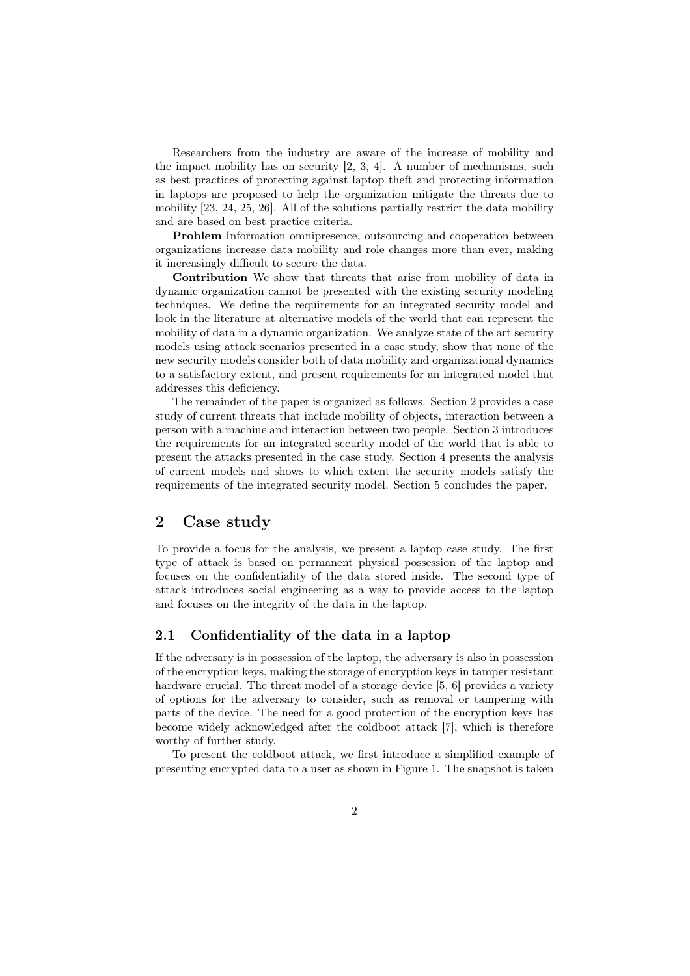Researchers from the industry are aware of the increase of mobility and the impact mobility has on security [2, 3, 4]. A number of mechanisms, such as best practices of protecting against laptop theft and protecting information in laptops are proposed to help the organization mitigate the threats due to mobility [23, 24, 25, 26]. All of the solutions partially restrict the data mobility and are based on best practice criteria.

Problem Information omnipresence, outsourcing and cooperation between organizations increase data mobility and role changes more than ever, making it increasingly difficult to secure the data.

Contribution We show that threats that arise from mobility of data in dynamic organization cannot be presented with the existing security modeling techniques. We define the requirements for an integrated security model and look in the literature at alternative models of the world that can represent the mobility of data in a dynamic organization. We analyze state of the art security models using attack scenarios presented in a case study, show that none of the new security models consider both of data mobility and organizational dynamics to a satisfactory extent, and present requirements for an integrated model that addresses this deficiency.

The remainder of the paper is organized as follows. Section 2 provides a case study of current threats that include mobility of objects, interaction between a person with a machine and interaction between two people. Section 3 introduces the requirements for an integrated security model of the world that is able to present the attacks presented in the case study. Section 4 presents the analysis of current models and shows to which extent the security models satisfy the requirements of the integrated security model. Section 5 concludes the paper.

## 2 Case study

To provide a focus for the analysis, we present a laptop case study. The first type of attack is based on permanent physical possession of the laptop and focuses on the confidentiality of the data stored inside. The second type of attack introduces social engineering as a way to provide access to the laptop and focuses on the integrity of the data in the laptop.

#### 2.1 Confidentiality of the data in a laptop

If the adversary is in possession of the laptop, the adversary is also in possession of the encryption keys, making the storage of encryption keys in tamper resistant hardware crucial. The threat model of a storage device [5, 6] provides a variety of options for the adversary to consider, such as removal or tampering with parts of the device. The need for a good protection of the encryption keys has become widely acknowledged after the coldboot attack [7], which is therefore worthy of further study.

To present the coldboot attack, we first introduce a simplified example of presenting encrypted data to a user as shown in Figure 1. The snapshot is taken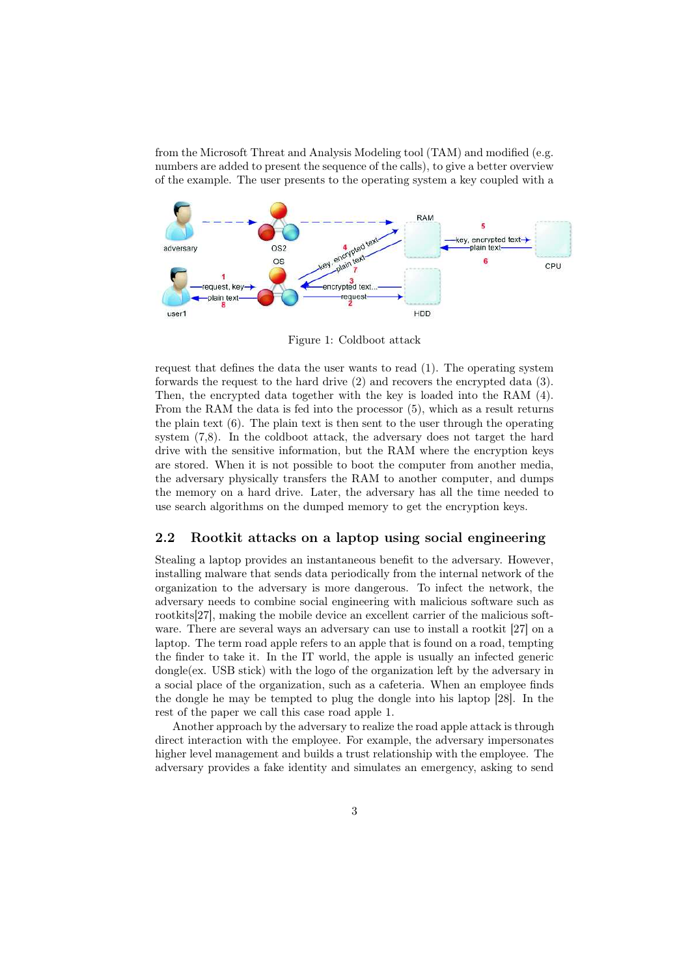from the Microsoft Threat and Analysis Modeling tool (TAM) and modified (e.g. numbers are added to present the sequence of the calls), to give a better overview of the example. The user presents to the operating system a key coupled with a



Figure 1: Coldboot attack

request that defines the data the user wants to read (1). The operating system forwards the request to the hard drive (2) and recovers the encrypted data (3). Then, the encrypted data together with the key is loaded into the RAM (4). From the RAM the data is fed into the processor (5), which as a result returns the plain text (6). The plain text is then sent to the user through the operating system (7,8). In the coldboot attack, the adversary does not target the hard drive with the sensitive information, but the RAM where the encryption keys are stored. When it is not possible to boot the computer from another media, the adversary physically transfers the RAM to another computer, and dumps the memory on a hard drive. Later, the adversary has all the time needed to use search algorithms on the dumped memory to get the encryption keys.

### 2.2 Rootkit attacks on a laptop using social engineering

Stealing a laptop provides an instantaneous benefit to the adversary. However, installing malware that sends data periodically from the internal network of the organization to the adversary is more dangerous. To infect the network, the adversary needs to combine social engineering with malicious software such as rootkits[27], making the mobile device an excellent carrier of the malicious software. There are several ways an adversary can use to install a rootkit [27] on a laptop. The term road apple refers to an apple that is found on a road, tempting the finder to take it. In the IT world, the apple is usually an infected generic dongle(ex. USB stick) with the logo of the organization left by the adversary in a social place of the organization, such as a cafeteria. When an employee finds the dongle he may be tempted to plug the dongle into his laptop [28]. In the rest of the paper we call this case road apple 1.

Another approach by the adversary to realize the road apple attack is through direct interaction with the employee. For example, the adversary impersonates higher level management and builds a trust relationship with the employee. The adversary provides a fake identity and simulates an emergency, asking to send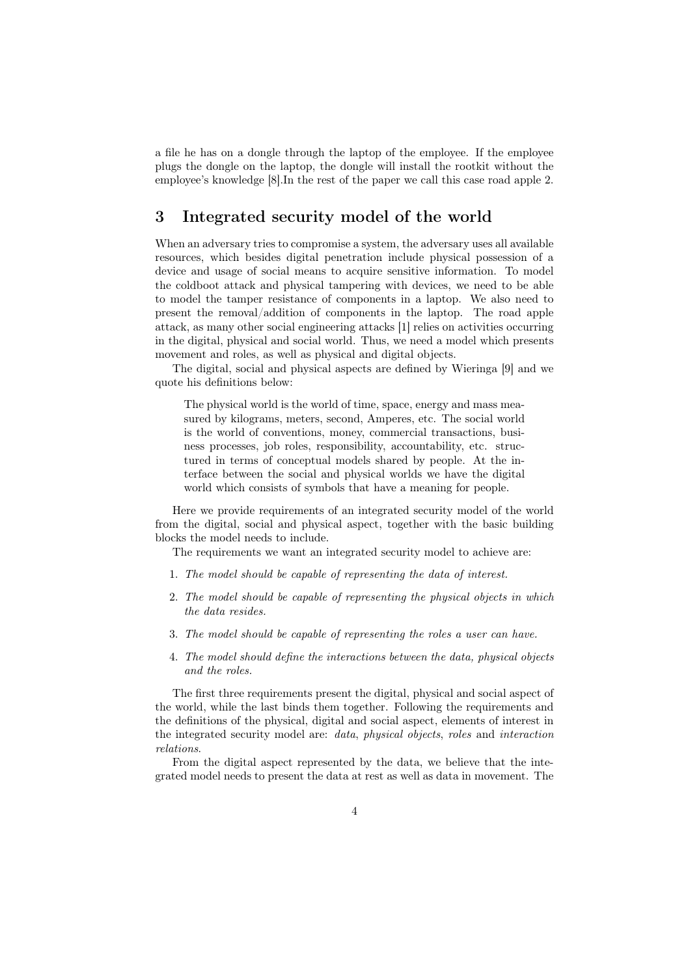a file he has on a dongle through the laptop of the employee. If the employee plugs the dongle on the laptop, the dongle will install the rootkit without the employee's knowledge [8].In the rest of the paper we call this case road apple 2.

## 3 Integrated security model of the world

When an adversary tries to compromise a system, the adversary uses all available resources, which besides digital penetration include physical possession of a device and usage of social means to acquire sensitive information. To model the coldboot attack and physical tampering with devices, we need to be able to model the tamper resistance of components in a laptop. We also need to present the removal/addition of components in the laptop. The road apple attack, as many other social engineering attacks [1] relies on activities occurring in the digital, physical and social world. Thus, we need a model which presents movement and roles, as well as physical and digital objects.

The digital, social and physical aspects are defined by Wieringa [9] and we quote his definitions below:

The physical world is the world of time, space, energy and mass measured by kilograms, meters, second, Amperes, etc. The social world is the world of conventions, money, commercial transactions, business processes, job roles, responsibility, accountability, etc. structured in terms of conceptual models shared by people. At the interface between the social and physical worlds we have the digital world which consists of symbols that have a meaning for people.

Here we provide requirements of an integrated security model of the world from the digital, social and physical aspect, together with the basic building blocks the model needs to include.

The requirements we want an integrated security model to achieve are:

- 1. The model should be capable of representing the data of interest.
- 2. The model should be capable of representing the physical objects in which the data resides.
- 3. The model should be capable of representing the roles a user can have.
- 4. The model should define the interactions between the data, physical objects and the roles.

The first three requirements present the digital, physical and social aspect of the world, while the last binds them together. Following the requirements and the definitions of the physical, digital and social aspect, elements of interest in the integrated security model are: data, physical objects, roles and interaction relations.

From the digital aspect represented by the data, we believe that the integrated model needs to present the data at rest as well as data in movement. The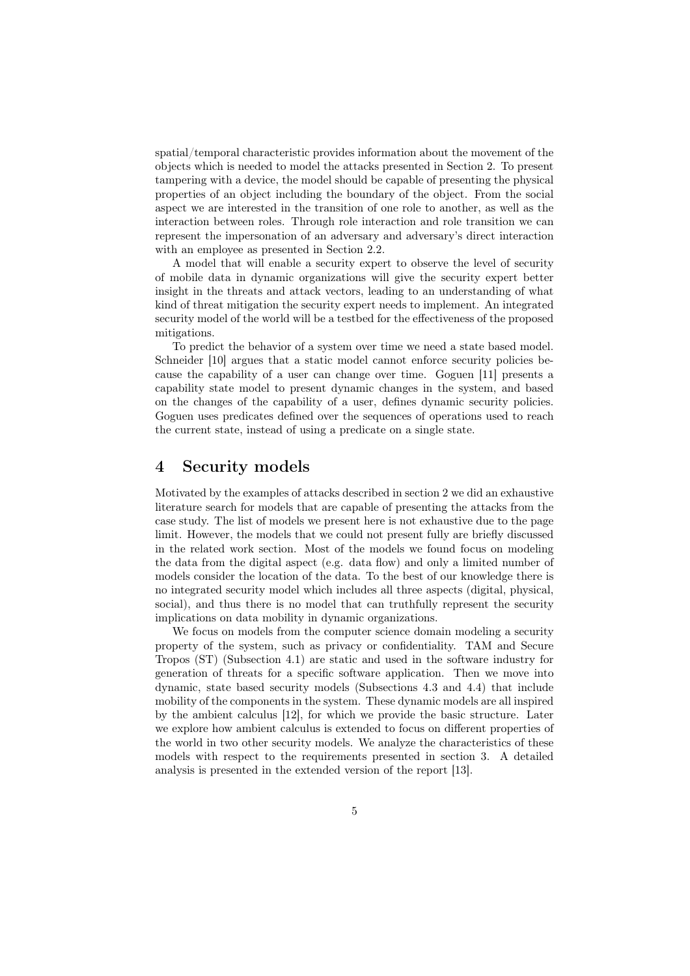spatial/temporal characteristic provides information about the movement of the objects which is needed to model the attacks presented in Section 2. To present tampering with a device, the model should be capable of presenting the physical properties of an object including the boundary of the object. From the social aspect we are interested in the transition of one role to another, as well as the interaction between roles. Through role interaction and role transition we can represent the impersonation of an adversary and adversary's direct interaction with an employee as presented in Section 2.2.

A model that will enable a security expert to observe the level of security of mobile data in dynamic organizations will give the security expert better insight in the threats and attack vectors, leading to an understanding of what kind of threat mitigation the security expert needs to implement. An integrated security model of the world will be a testbed for the effectiveness of the proposed mitigations.

To predict the behavior of a system over time we need a state based model. Schneider [10] argues that a static model cannot enforce security policies because the capability of a user can change over time. Goguen [11] presents a capability state model to present dynamic changes in the system, and based on the changes of the capability of a user, defines dynamic security policies. Goguen uses predicates defined over the sequences of operations used to reach the current state, instead of using a predicate on a single state.

## 4 Security models

Motivated by the examples of attacks described in section 2 we did an exhaustive literature search for models that are capable of presenting the attacks from the case study. The list of models we present here is not exhaustive due to the page limit. However, the models that we could not present fully are briefly discussed in the related work section. Most of the models we found focus on modeling the data from the digital aspect (e.g. data flow) and only a limited number of models consider the location of the data. To the best of our knowledge there is no integrated security model which includes all three aspects (digital, physical, social), and thus there is no model that can truthfully represent the security implications on data mobility in dynamic organizations.

We focus on models from the computer science domain modeling a security property of the system, such as privacy or confidentiality. TAM and Secure Tropos (ST) (Subsection 4.1) are static and used in the software industry for generation of threats for a specific software application. Then we move into dynamic, state based security models (Subsections 4.3 and 4.4) that include mobility of the components in the system. These dynamic models are all inspired by the ambient calculus [12], for which we provide the basic structure. Later we explore how ambient calculus is extended to focus on different properties of the world in two other security models. We analyze the characteristics of these models with respect to the requirements presented in section 3. A detailed analysis is presented in the extended version of the report [13].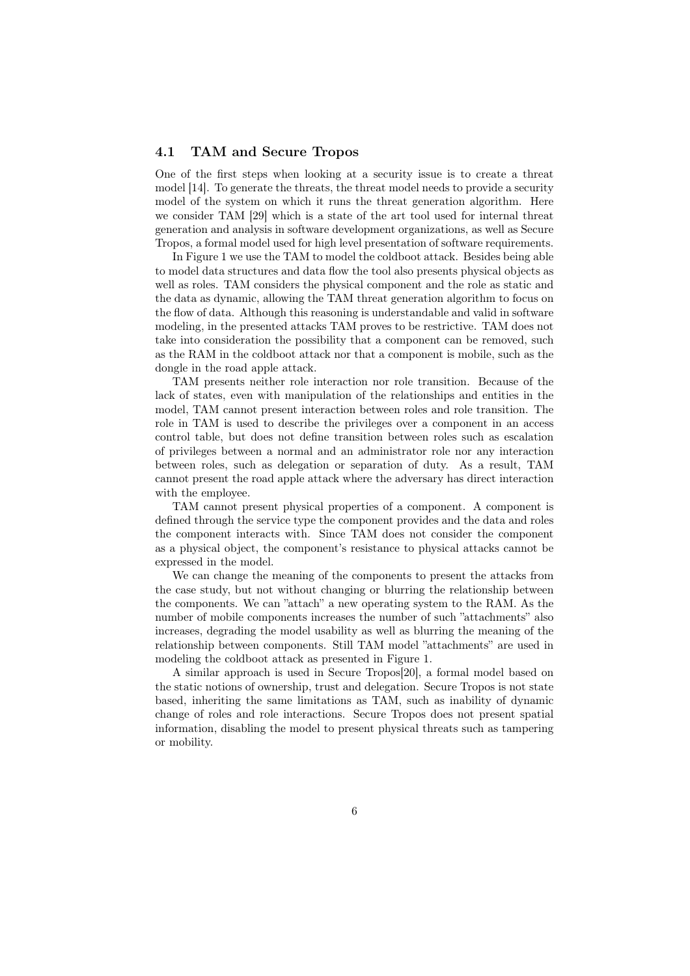#### 4.1 TAM and Secure Tropos

One of the first steps when looking at a security issue is to create a threat model [14]. To generate the threats, the threat model needs to provide a security model of the system on which it runs the threat generation algorithm. Here we consider TAM [29] which is a state of the art tool used for internal threat generation and analysis in software development organizations, as well as Secure Tropos, a formal model used for high level presentation of software requirements.

In Figure 1 we use the TAM to model the coldboot attack. Besides being able to model data structures and data flow the tool also presents physical objects as well as roles. TAM considers the physical component and the role as static and the data as dynamic, allowing the TAM threat generation algorithm to focus on the flow of data. Although this reasoning is understandable and valid in software modeling, in the presented attacks TAM proves to be restrictive. TAM does not take into consideration the possibility that a component can be removed, such as the RAM in the coldboot attack nor that a component is mobile, such as the dongle in the road apple attack.

TAM presents neither role interaction nor role transition. Because of the lack of states, even with manipulation of the relationships and entities in the model, TAM cannot present interaction between roles and role transition. The role in TAM is used to describe the privileges over a component in an access control table, but does not define transition between roles such as escalation of privileges between a normal and an administrator role nor any interaction between roles, such as delegation or separation of duty. As a result, TAM cannot present the road apple attack where the adversary has direct interaction with the employee.

TAM cannot present physical properties of a component. A component is defined through the service type the component provides and the data and roles the component interacts with. Since TAM does not consider the component as a physical object, the component's resistance to physical attacks cannot be expressed in the model.

We can change the meaning of the components to present the attacks from the case study, but not without changing or blurring the relationship between the components. We can "attach" a new operating system to the RAM. As the number of mobile components increases the number of such "attachments" also increases, degrading the model usability as well as blurring the meaning of the relationship between components. Still TAM model "attachments" are used in modeling the coldboot attack as presented in Figure 1.

A similar approach is used in Secure Tropos[20], a formal model based on the static notions of ownership, trust and delegation. Secure Tropos is not state based, inheriting the same limitations as TAM, such as inability of dynamic change of roles and role interactions. Secure Tropos does not present spatial information, disabling the model to present physical threats such as tampering or mobility.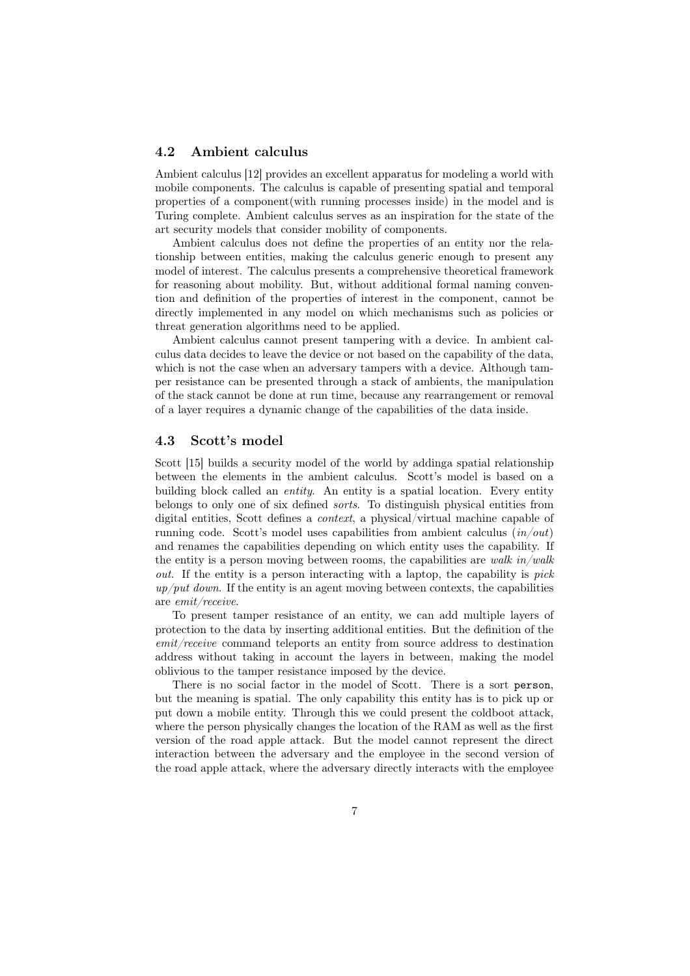#### 4.2 Ambient calculus

Ambient calculus [12] provides an excellent apparatus for modeling a world with mobile components. The calculus is capable of presenting spatial and temporal properties of a component(with running processes inside) in the model and is Turing complete. Ambient calculus serves as an inspiration for the state of the art security models that consider mobility of components.

Ambient calculus does not define the properties of an entity nor the relationship between entities, making the calculus generic enough to present any model of interest. The calculus presents a comprehensive theoretical framework for reasoning about mobility. But, without additional formal naming convention and definition of the properties of interest in the component, cannot be directly implemented in any model on which mechanisms such as policies or threat generation algorithms need to be applied.

Ambient calculus cannot present tampering with a device. In ambient calculus data decides to leave the device or not based on the capability of the data, which is not the case when an adversary tampers with a device. Although tamper resistance can be presented through a stack of ambients, the manipulation of the stack cannot be done at run time, because any rearrangement or removal of a layer requires a dynamic change of the capabilities of the data inside.

#### 4.3 Scott's model

Scott [15] builds a security model of the world by addinga spatial relationship between the elements in the ambient calculus. Scott's model is based on a building block called an entity. An entity is a spatial location. Every entity belongs to only one of six defined sorts. To distinguish physical entities from digital entities, Scott defines a context, a physical/virtual machine capable of running code. Scott's model uses capabilities from ambient calculus  $(in/out)$ and renames the capabilities depending on which entity uses the capability. If the entity is a person moving between rooms, the capabilities are walk  $in/walk$ out. If the entity is a person interacting with a laptop, the capability is pick  $up/put$  down. If the entity is an agent moving between contexts, the capabilities are emit/receive.

To present tamper resistance of an entity, we can add multiple layers of protection to the data by inserting additional entities. But the definition of the emit/receive command teleports an entity from source address to destination address without taking in account the layers in between, making the model oblivious to the tamper resistance imposed by the device.

There is no social factor in the model of Scott. There is a sort person, but the meaning is spatial. The only capability this entity has is to pick up or put down a mobile entity. Through this we could present the coldboot attack, where the person physically changes the location of the RAM as well as the first version of the road apple attack. But the model cannot represent the direct interaction between the adversary and the employee in the second version of the road apple attack, where the adversary directly interacts with the employee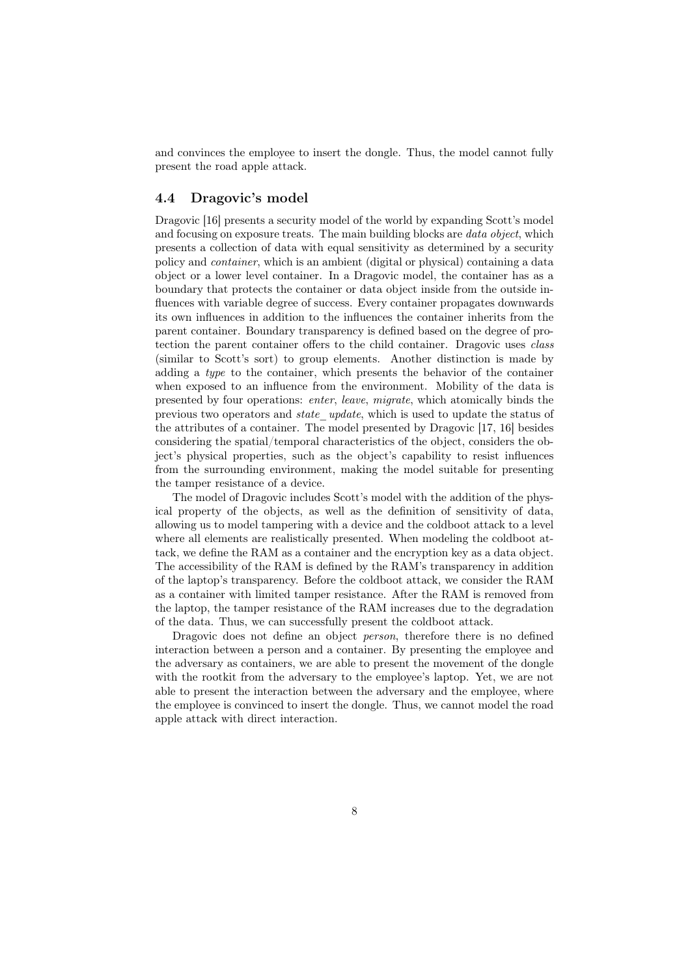and convinces the employee to insert the dongle. Thus, the model cannot fully present the road apple attack.

#### 4.4 Dragovic's model

Dragovic [16] presents a security model of the world by expanding Scott's model and focusing on exposure treats. The main building blocks are data object, which presents a collection of data with equal sensitivity as determined by a security policy and container, which is an ambient (digital or physical) containing a data object or a lower level container. In a Dragovic model, the container has as a boundary that protects the container or data object inside from the outside influences with variable degree of success. Every container propagates downwards its own influences in addition to the influences the container inherits from the parent container. Boundary transparency is defined based on the degree of protection the parent container offers to the child container. Dragovic uses class (similar to Scott's sort) to group elements. Another distinction is made by adding a type to the container, which presents the behavior of the container when exposed to an influence from the environment. Mobility of the data is presented by four operations: enter, leave, migrate, which atomically binds the previous two operators and state\_update, which is used to update the status of the attributes of a container. The model presented by Dragovic [17, 16] besides considering the spatial/temporal characteristics of the object, considers the object's physical properties, such as the object's capability to resist influences from the surrounding environment, making the model suitable for presenting the tamper resistance of a device.

The model of Dragovic includes Scott's model with the addition of the physical property of the objects, as well as the definition of sensitivity of data, allowing us to model tampering with a device and the coldboot attack to a level where all elements are realistically presented. When modeling the coldboot attack, we define the RAM as a container and the encryption key as a data object. The accessibility of the RAM is defined by the RAM's transparency in addition of the laptop's transparency. Before the coldboot attack, we consider the RAM as a container with limited tamper resistance. After the RAM is removed from the laptop, the tamper resistance of the RAM increases due to the degradation of the data. Thus, we can successfully present the coldboot attack.

Dragovic does not define an object *person*, therefore there is no defined interaction between a person and a container. By presenting the employee and the adversary as containers, we are able to present the movement of the dongle with the rootkit from the adversary to the employee's laptop. Yet, we are not able to present the interaction between the adversary and the employee, where the employee is convinced to insert the dongle. Thus, we cannot model the road apple attack with direct interaction.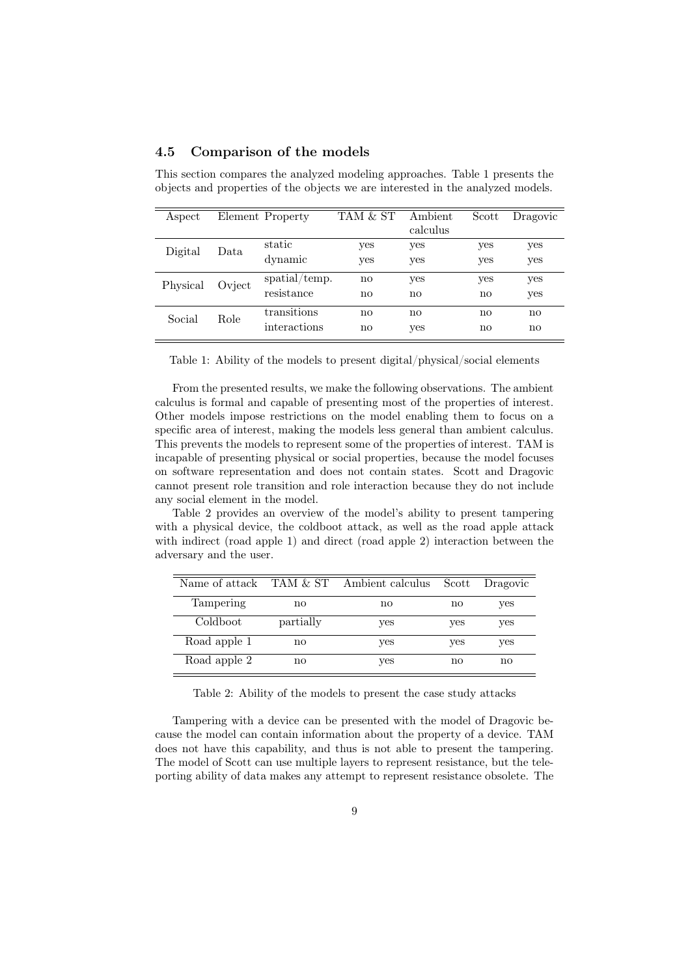|  |  | 4.5 Comparison of the models |  |  |
|--|--|------------------------------|--|--|
|--|--|------------------------------|--|--|

| Aspect   |                  | Element Property            | TAM & ST                      | Ambient<br>calculus           | Scott      | Dragovic            |
|----------|------------------|-----------------------------|-------------------------------|-------------------------------|------------|---------------------|
| Digital  | $_{\text{Data}}$ | static<br>dynamic           | yes<br>yes                    | yes<br>yes                    | yes<br>yes | yes<br>yes          |
| Physical | Ovject           | spatial/temp.<br>resistance | $\mathbf{n}$<br>$\mathbf{no}$ | yes<br>$\mathbf{n}\mathbf{o}$ | yes<br>no  | yes<br>yes          |
| Social   | Role             | transitions<br>interactions | no<br>$\mathbf{n}\mathbf{o}$  | no<br>yes                     | no<br>no   | no<br>$\mathbf{no}$ |

This section compares the analyzed modeling approaches. Table 1 presents the objects and properties of the objects we are interested in the analyzed models.

Table 1: Ability of the models to present digital/physical/social elements

From the presented results, we make the following observations. The ambient calculus is formal and capable of presenting most of the properties of interest. Other models impose restrictions on the model enabling them to focus on a specific area of interest, making the models less general than ambient calculus. This prevents the models to represent some of the properties of interest. TAM is incapable of presenting physical or social properties, because the model focuses on software representation and does not contain states. Scott and Dragovic cannot present role transition and role interaction because they do not include any social element in the model.

Table 2 provides an overview of the model's ability to present tampering with a physical device, the coldboot attack, as well as the road apple attack with indirect (road apple 1) and direct (road apple 2) interaction between the adversary and the user.

|              |           | Name of attack TAM & ST Ambient calculus | Scott | Dragovic |
|--------------|-----------|------------------------------------------|-------|----------|
| Tampering    | no        | no                                       | no    | yes      |
| Coldboot     | partially | yes                                      | yes   | yes      |
| Road apple 1 | no        | yes                                      | yes   | yes      |
| Road apple 2 | no        | yes                                      | no    | no       |

Table 2: Ability of the models to present the case study attacks

Tampering with a device can be presented with the model of Dragovic because the model can contain information about the property of a device. TAM does not have this capability, and thus is not able to present the tampering. The model of Scott can use multiple layers to represent resistance, but the teleporting ability of data makes any attempt to represent resistance obsolete. The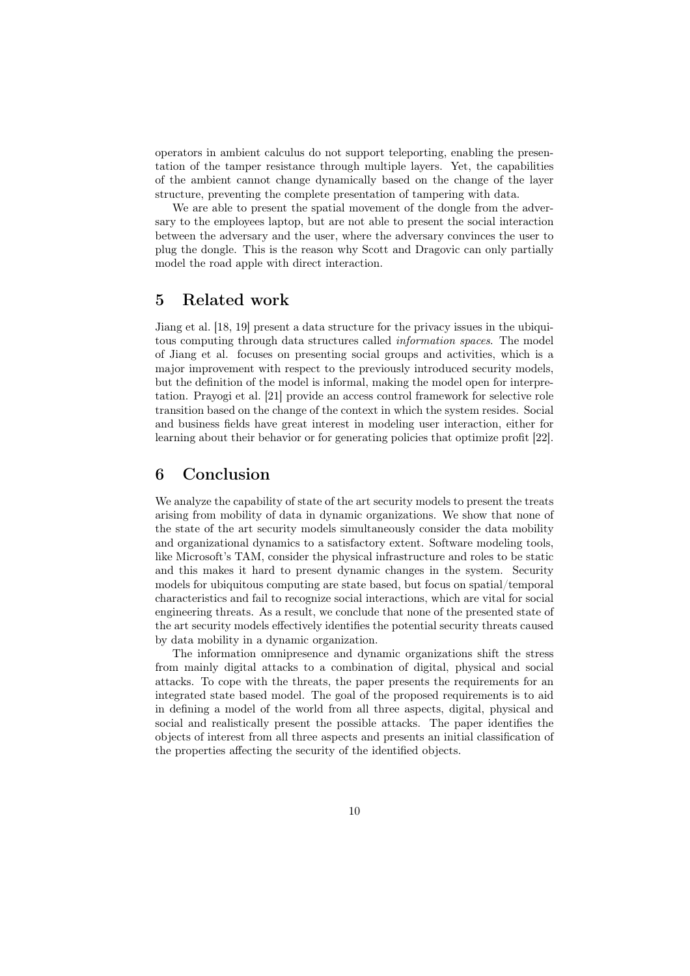operators in ambient calculus do not support teleporting, enabling the presentation of the tamper resistance through multiple layers. Yet, the capabilities of the ambient cannot change dynamically based on the change of the layer structure, preventing the complete presentation of tampering with data.

We are able to present the spatial movement of the dongle from the adversary to the employees laptop, but are not able to present the social interaction between the adversary and the user, where the adversary convinces the user to plug the dongle. This is the reason why Scott and Dragovic can only partially model the road apple with direct interaction.

## 5 Related work

Jiang et al. [18, 19] present a data structure for the privacy issues in the ubiquitous computing through data structures called information spaces. The model of Jiang et al. focuses on presenting social groups and activities, which is a major improvement with respect to the previously introduced security models, but the definition of the model is informal, making the model open for interpretation. Prayogi et al. [21] provide an access control framework for selective role transition based on the change of the context in which the system resides. Social and business fields have great interest in modeling user interaction, either for learning about their behavior or for generating policies that optimize profit [22].

## 6 Conclusion

We analyze the capability of state of the art security models to present the treats arising from mobility of data in dynamic organizations. We show that none of the state of the art security models simultaneously consider the data mobility and organizational dynamics to a satisfactory extent. Software modeling tools, like Microsoft's TAM, consider the physical infrastructure and roles to be static and this makes it hard to present dynamic changes in the system. Security models for ubiquitous computing are state based, but focus on spatial/temporal characteristics and fail to recognize social interactions, which are vital for social engineering threats. As a result, we conclude that none of the presented state of the art security models effectively identifies the potential security threats caused by data mobility in a dynamic organization.

The information omnipresence and dynamic organizations shift the stress from mainly digital attacks to a combination of digital, physical and social attacks. To cope with the threats, the paper presents the requirements for an integrated state based model. The goal of the proposed requirements is to aid in defining a model of the world from all three aspects, digital, physical and social and realistically present the possible attacks. The paper identifies the objects of interest from all three aspects and presents an initial classification of the properties affecting the security of the identified objects.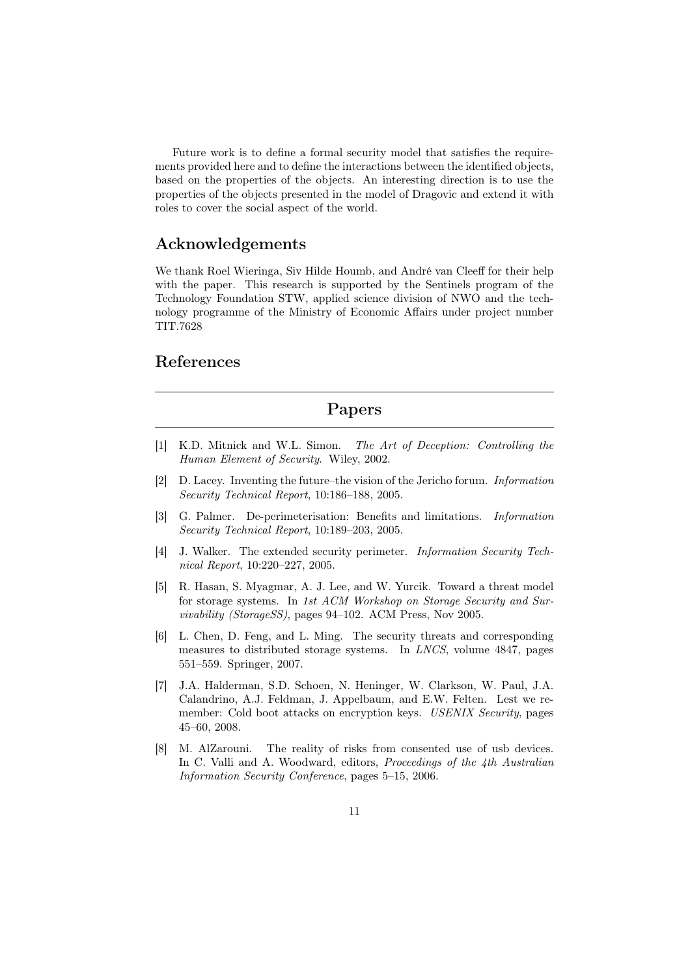Future work is to define a formal security model that satisfies the requirements provided here and to define the interactions between the identified objects, based on the properties of the objects. An interesting direction is to use the properties of the objects presented in the model of Dragovic and extend it with roles to cover the social aspect of the world.

## Acknowledgements

We thank Roel Wieringa, Siv Hilde Houmb, and André van Cleeff for their help with the paper. This research is supported by the Sentinels program of the Technology Foundation STW, applied science division of NWO and the technology programme of the Ministry of Economic Affairs under project number TIT.7628

## References

## Papers

- [1] K.D. Mitnick and W.L. Simon. The Art of Deception: Controlling the Human Element of Security. Wiley, 2002.
- [2] D. Lacey. Inventing the future–the vision of the Jericho forum. Information Security Technical Report, 10:186–188, 2005.
- [3] G. Palmer. De-perimeterisation: Benefits and limitations. Information Security Technical Report, 10:189–203, 2005.
- [4] J. Walker. The extended security perimeter. *Information Security Tech*nical Report, 10:220–227, 2005.
- [5] R. Hasan, S. Myagmar, A. J. Lee, and W. Yurcik. Toward a threat model for storage systems. In 1st ACM Workshop on Storage Security and Survivability (StorageSS), pages 94–102. ACM Press, Nov 2005.
- [6] L. Chen, D. Feng, and L. Ming. The security threats and corresponding measures to distributed storage systems. In LNCS, volume 4847, pages 551–559. Springer, 2007.
- [7] J.A. Halderman, S.D. Schoen, N. Heninger, W. Clarkson, W. Paul, J.A. Calandrino, A.J. Feldman, J. Appelbaum, and E.W. Felten. Lest we remember: Cold boot attacks on encryption keys. USENIX Security, pages 45–60, 2008.
- [8] M. AlZarouni. The reality of risks from consented use of usb devices. In C. Valli and A. Woodward, editors, Proceedings of the 4th Australian Information Security Conference, pages 5–15, 2006.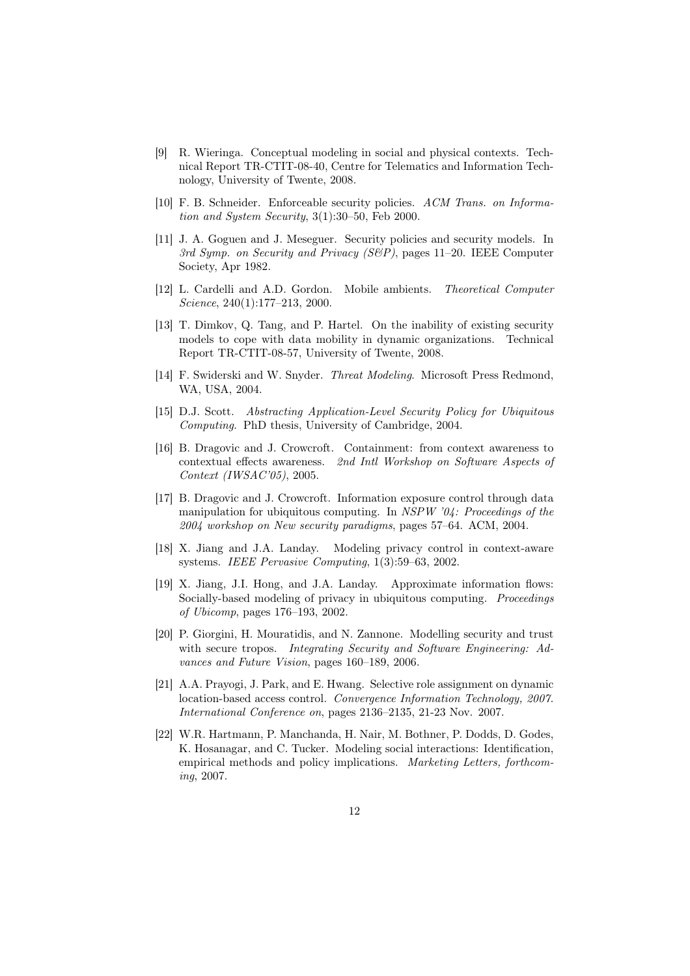- [9] R. Wieringa. Conceptual modeling in social and physical contexts. Technical Report TR-CTIT-08-40, Centre for Telematics and Information Technology, University of Twente, 2008.
- [10] F. B. Schneider. Enforceable security policies. ACM Trans. on Information and System Security, 3(1):30–50, Feb 2000.
- [11] J. A. Goguen and J. Meseguer. Security policies and security models. In 3rd Symp. on Security and Privacy (S&P), pages 11–20. IEEE Computer Society, Apr 1982.
- [12] L. Cardelli and A.D. Gordon. Mobile ambients. Theoretical Computer Science, 240(1):177–213, 2000.
- [13] T. Dimkov, Q. Tang, and P. Hartel. On the inability of existing security models to cope with data mobility in dynamic organizations. Technical Report TR-CTIT-08-57, University of Twente, 2008.
- [14] F. Swiderski and W. Snyder. Threat Modeling. Microsoft Press Redmond, WA, USA, 2004.
- [15] D.J. Scott. Abstracting Application-Level Security Policy for Ubiquitous Computing. PhD thesis, University of Cambridge, 2004.
- [16] B. Dragovic and J. Crowcroft. Containment: from context awareness to contextual effects awareness. 2nd Intl Workshop on Software Aspects of Context (IWSAC'05), 2005.
- [17] B. Dragovic and J. Crowcroft. Information exposure control through data manipulation for ubiquitous computing. In  $NSPW$  '04: Proceedings of the 2004 workshop on New security paradigms, pages 57–64. ACM, 2004.
- [18] X. Jiang and J.A. Landay. Modeling privacy control in context-aware systems. IEEE Pervasive Computing, 1(3):59–63, 2002.
- [19] X. Jiang, J.I. Hong, and J.A. Landay. Approximate information flows: Socially-based modeling of privacy in ubiquitous computing. Proceedings of Ubicomp, pages 176–193, 2002.
- [20] P. Giorgini, H. Mouratidis, and N. Zannone. Modelling security and trust with secure tropos. Integrating Security and Software Engineering: Advances and Future Vision, pages 160–189, 2006.
- [21] A.A. Prayogi, J. Park, and E. Hwang. Selective role assignment on dynamic location-based access control. Convergence Information Technology, 2007. International Conference on, pages 2136–2135, 21-23 Nov. 2007.
- [22] W.R. Hartmann, P. Manchanda, H. Nair, M. Bothner, P. Dodds, D. Godes, K. Hosanagar, and C. Tucker. Modeling social interactions: Identification, empirical methods and policy implications. Marketing Letters, forthcoming, 2007.